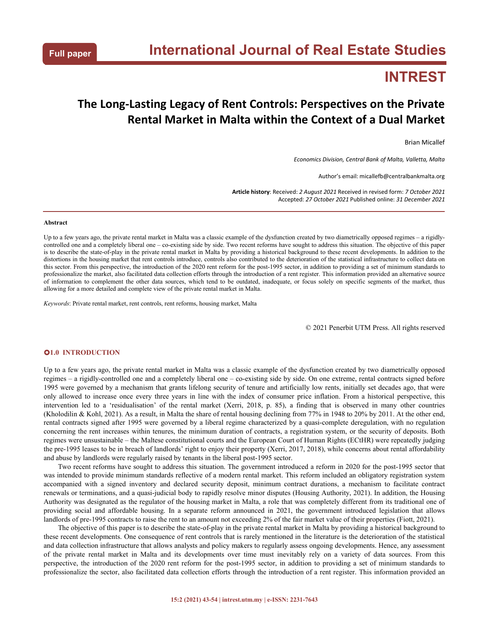# **INTREST**

# **The Long-Lasting Legacy of Rent Controls: Perspectives on the Private Rental Market in Malta within the Context of a Dual Market**

Brian Micallef

*Economics Division, Central Bank of Malta,Valletta, Malta*

Author's email: micallefb@centralbankmalta.org

**Article history**: Received: *2 August 2021* Received in revised form: *7 October 2021* Accepted: *27 October 2021* Published online: *31 December 2021*

### **Abstract**

Up to a few years ago, the private rental market in Malta was a classic example of the dysfunction created by two diametrically opposed regimes – a rigidly controlled one and a completely liberal one – co-existing side by side. Two recent reforms have sought to address this situation. The objective of this paper is to describe the state-of-play in the private rental market in Malta by providing a historical background to these recent developments. In addition to the distortions in the housing market that rent controls introduce, controls also contributed to the deterioration of the statistical infrastructure to collect data on this sector. From this perspective, the introduction of the 2020 rent reform for the post-1995 sector, in addition to providing a set of minimum standards to professionalize the market, also facilitated data collection efforts through the introduction of a rent register. This information provided an alternative source of information to complement the other data sources,which tend to be outdated, inadequate, or focus solely on specific segments of the market, thus allowing for a more detailed and complete view of the private rental market in Malta.

*Keywords*: Private rental market, rent controls, rent reforms, housing market, Malta

© 2021 Penerbit UTM Press. All rights reserved

# **1.0 INTRODUCTION**

Up to a few years ago, the private rental market in Malta was a classic example of the dysfunction created by two diametrically opposed regimes – a rigidly-controlled one and a completely liberal one – co-existing side by side. On one extreme, rental contracts signed before 1995 were governed by a mechanism that grants lifelong security of tenure and artificially low rents, initially set decades ago, that were only allowed to increase once every three years in line with the index of consumer price inflation. From a historical perspective, this intervention led to a 'residualisation' of the rental market (Xerri, 2018, p. 85), a finding that is observed in many other countries (Kholodilin & Kohl, 2021). As a result, in Malta the share of rental housing declining from 77% in 1948 to 20% by 2011. At the other end, rental contracts signed after 1995 were governed by a liberal regime characterized by a quasi-complete deregulation, with no regulation concerning the rent increases within tenures, the minimum duration of contracts, a registration system, or the security of deposits. Both regimes were unsustainable – the Maltese constitutional courts and the European Court of Human Rights (ECtHR) were repeatedly judging the pre-1995 leases to be in breach of landlords' right to enjoy their property (Xerri, 2017, 2018), while concerns about rental affordability and abuse by landlords were regularly raised by tenants in the liberal post-1995 sector.

Two recent reforms have sought to address this situation. The government introduced a reform in 2020 for the post-1995 sector that was intended to provide minimum standards reflective of a modern rental market. This reform included an obligatory registration system accompanied with a signed inventory and declared security deposit, minimum contract durations, a mechanism to facilitate contract renewals or terminations, and a quasi-judicial body to rapidly resolve minor disputes (Housing Authority, 2021). In addition, the Housing Authority was designated as the regulator of the housing market in Malta, a role that was completely different from its traditional one of providing social and affordable housing. In a separate reform announced in 2021, the government introduced legislation that allows landlords of pre-1995 contracts to raise the rent to an amount not exceeding 2% of the fair market value of their properties (Fiott, 2021).

The objective of this paper is to describe the state-of-play in the private rental market in Malta by providing a historical background to these recent developments. One consequence of rent controls that is rarely mentioned in the literature is the deterioration of the statistical and data collection infrastructure that allows analysts and policy makers to regularly assess ongoing developments. Hence, any assessment of the private rental market in Malta and its developments over time must inevitably rely on a variety of data sources.From this perspective, the introduction of the 2020 rent reform for the post-1995 sector, in addition to providing a set of minimum standards to professionalize the sector, also facilitated data collection efforts through the introduction of a rent register. This information provided an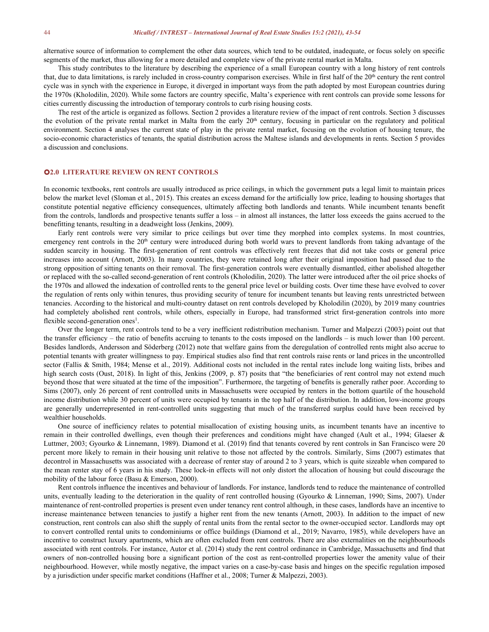alternative source of information to complement the other data sources, which tend to be outdated, inadequate, or focus solely on specific segments of the market, thus allowing for a more detailed and complete view of the private rental market in Malta.

This study contributes to the literature by describing the experience of a small European country with a long history of rent controls that, due to data limitations, is rarely included in cross-country comparison exercises. While in first half of the 20<sup>th</sup> century the rent control cycle was in synch with the experience in Europe, itdiverged in important ways from the path adopted by most European countries during the 1970s (Kholodilin, 2020). While some factors are country specific, Malta's experience with rent controls can provide some lessons for cities currently discussing the introduction of temporary controls to curb rising housing costs.

The rest of the article is organized as follows. Section 2 provides a literature review of the impact of rent controls. Section 3 discusses the evolution of the private rental market in Malta from the early 20<sup>th</sup> century, focusing in particular on the regulatory and political environment. Section 4 analyses the current state of play in the private rental market, focusing on the evolution of housing tenure, the socio-economic characteristics of tenants, the spatial distribution across the Maltese islands and developments in rents. Section 5 provides a discussion and conclusions.

# **2.0 LITERATURE REVIEW ON RENT CONTROLS**

In economic textbooks, rent controls are usually introduced as price ceilings, in which the government puts a legal limit to maintain prices below the market level (Sloman et al., 2015). This creates an excess demand for the artificially low price, leading to housing shortages that constitute potential negative efficiency consequences, ultimately affecting both landlords and tenants. While incumbent tenants benefit from the controls, landlords and prospective tenants suffer a loss – in almost allinstances, the latter loss exceeds the gains accrued to the benefitting tenants, resulting in a deadweight loss (Jenkins, 2009).

Early rent controls were very similar to price ceilings but over time they morphed into complex systems. In most countries, emergency rent controls in the 20<sup>th</sup> century were introduced during both world wars to prevent landlords from taking advantage of the sudden scarcity in housing. The first-generation of rent controls was effectively rent freezes that did not take costs or general price increases into account (Arnott, 2003). In many countries, they were retained long after their original imposition had passed due to the strong opposition of sitting tenants on their removal. The first-generation controls were eventually dismantled, either abolished altogether or replaced with the so-called second-generation of rent controls (Kholodilin, 2020). The latter were introduced after the oil price shocks of the 1970s and allowed the indexation of controlled rents to the general price level or building costs. Over time these have evolved to cover the regulation of rents only within tenures, thus providing security of tenure for incumbent tenants but leaving rents unrestricted between tenancies. According to the historical and multi-country dataset on rent controls developed by Kholodilin (2020), by 2019 many countries had completely abolished rent controls, while others, especially in Europe, had transformed strict first-generation controls into more flexible second-generation ones<sup>1</sup>. .

Over the longer term, rent controls tend to be a very inefficient redistribution mechanism. Turner and Malpezzi (2003) point out that the transfer efficiency – the ratio of benefits accruing to tenants to the costs imposed on the landlords – is much lower than 100 percent. Besides landlords, Andersson and Söderberg (2012) note that welfare gains from the deregulation of controlled rents might also accrue to potential tenants with greater willingness to pay. Empirical studies also find that rent controls raise rents orland prices in the uncontrolled sector (Fallis & Smith, 1984; Mense et al., 2019). Additional costs not included in the rental rates include long waiting lists, bribes and high search costs (Oust, 2018). In light of this, Jenkins (2009, p. 87) posits that "the beneficiaries of rent control may not extend much beyond those that were situated at the time of the imposition". Furthermore, the targeting of benefits is generally rather poor. According to Sims (2007), only 26 percent of rent controlled units in Massachusetts were occupied by renters in the bottom quartile of the household income distribution while 30 percent of units were occupied by tenants in the top half of the distribution. In addition, low-income groups are generally underrepresented in rent-controlled units suggesting that much of the transferred surplus could have been received by wealthier households.

One source of inefficiency relates to potential misallocation of existing housing units, as incumbent tenants have an incentive to remain in their controlled dwellings, even though their preferences and conditions might have changed (Ault et al., 1994; Glaeser & Luttmer, 2003; Gyourko & Linnemann, 1989). Diamond et al. (2019) find that tenants covered by rent controls in San Francisco were 20 percent more likely to remain in their housing unit relative to those not affected by the controls. Similarly, Sims (2007) estimates that decontrol in Massachusetts was associated with a decrease of renter stay of around 2 to 3 years, which is quite sizeable when compared to the mean renter stay of 6 years in his study. These lock-in effects will not only distort the allocation of housing but could discourage the mobility of the labour force (Basu & Emerson, 2000).

Rent controls influence the incentives and behaviour of landlords. For instance, landlords tend to reduce the maintenance of controlled units, eventually leading to the deterioration in the quality of rent controlled housing (Gyourko & Linneman, 1990; Sims, 2007). Under maintenance of rent-controlled properties is present even under tenancy rent control although, in these cases, landlords have an incentive to increase maintenance between tenancies to justify a higher rent from the new tenants (Arnott, 2003). In addition to the impact of new construction, rent controls can also shift the supply of rental units from the rental sector to the owner-occupied sector. Landlords may opt to convert controlled rental units to condominiums or office buildings (Diamond et al., 2019; Navarro, 1985), while developers have an incentive to construct luxury apartments, which are often excluded from rent controls. There are also externalities on the neighbourhoods associated with rent controls. For instance, Autor et al. (2014) study the rent control ordinance in Cambridge, Massachusetts and find that owners of non-controlled housing bore a significant portion of the cost as rent-controlled properties lower the amenity value of their neighbourhood. However, while mostly negative, the impact varies on a case-by-case basis and hinges on the specific regulation imposed by a jurisdiction under specific market conditions (Haffner et al., 2008; Turner & Malpezzi, 2003).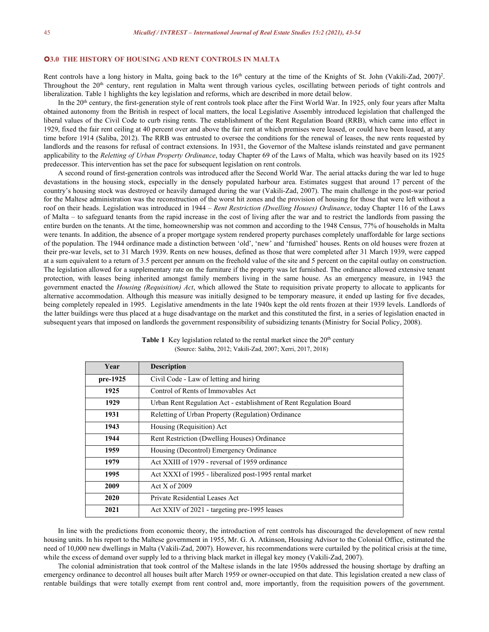# **3.0 THE HISTORY OF HOUSING AND RENT CONTROLS IN MALTA**

Rent controls have a long history in Malta, going back to the  $16<sup>th</sup>$  century at the time of the Knights of St. John (Vakili-Zad, 2007)<sup>2</sup>. 2 . Throughout the 20<sup>th</sup> century, rent regulation in Malta went through various cycles, oscillating between periods of tight controls and liberalization. Table 1 highlights the key legislation and reforms, which are described in more detail below.

In the 20<sup>th</sup> century, the first-generation style of rent controls took place after the First World War. In 1925, only four years after Malta obtained autonomy from the British in respectof local matters, the local Legislative Assembly introduced legislation that challenged the liberal values of the Civil Code to curb rising rents. The establishment of the Rent Regulation Board (RRB), which came into effect in 1929, fixed the fair rent ceiling at 40 percent over and above the fair rent at which premises were leased, or could have been leased, at any time before 1914 (Saliba, 2012). The RRB was entrusted to oversee the conditions for the renewal of leases, the new rents requested by landlords and the reasons for refusal of contract extensions. In 1931, the Governor of the Maltese islands reinstated and gave permanent applicability to the *Reletting of Urban Property Ordinance*, today Chapter 69 of the Laws of Malta, which was heavily based on its 1925 predecessor. This intervention has set the pace for subsequent legislation on rent controls.

A second round of first-generation controls was introduced after the Second World War. The aerial attacks during the warled to huge devastations in the housing stock, especially in the densely populated harbour area. Estimates suggest that around 17 percent of the country's housing stock was destroyed or heavily damaged during the war (Vakili-Zad, 2007). The main challenge in the post-war period for the Maltese administration was the reconstruction of the worst hit zones and the provision of housing for those that were left without a roof on their heads. Legislation was introduced in 1944 – *Rent Restriction (Dwelling Houses) Ordinance*, today Chapter 116 of the Laws of Malta – to safeguard tenants from the rapid increase in the cost of living after the war and to restrictthe landlords from passing the entire burden on the tenants. At the time, homeownership was not common and according to the 1948 Census, 77% of households in Malta were tenants. In addition, the absence of a proper mortgage system rendered property purchases completely unaffordable for large sections of the population. The 1944 ordinance made a distinction between 'old', 'new' and 'furnished' houses. Rents on old houses were frozen at their pre-war levels, set to 31 March 1939. Rents on new houses, defined as those that were completed after 31 March 1939, were capped at a sum equivalent to a return of 3.5 percent per annum on the freehold value of the site and 5 percent on the capital outlay on construction. The legislation allowed for a supplementary rate on the furniture if the property was let furnished. The ordinance allowed extensive tenant protection, with leases being inherited amongst family members living in the same house. As an emergency measure, in 1943 the government enacted the *Housing (Requisition) Act*, which allowed the State to requisition private property to allocate to applicants for alternative accommodation. Although this measure was initially designed to be temporary measure, it ended up lasting for five decades, being completely repealed in 1995. Legislative amendments in the late 1940s kept the old rents frozen at their 1939 levels. Landlords of the latter buildings were thus placed at a huge disadvantage on the market and this constituted the first, in a series of legislation enacted in subsequent years that imposed on landlords the government responsibility of subsidizing tenants (Ministry for Social Policy, 2008).

| Year     | <b>Description</b>                                                 |  |  |  |  |
|----------|--------------------------------------------------------------------|--|--|--|--|
| pre-1925 | Civil Code - Law of letting and hiring                             |  |  |  |  |
| 1925     | Control of Rents of Immovables Act                                 |  |  |  |  |
| 1929     | Urban Rent Regulation Act - establishment of Rent Regulation Board |  |  |  |  |
| 1931     | Reletting of Urban Property (Regulation) Ordinance                 |  |  |  |  |
| 1943     | Housing (Requisition) Act                                          |  |  |  |  |
| 1944     | Rent Restriction (Dwelling Houses) Ordinance                       |  |  |  |  |
| 1959     | Housing (Decontrol) Emergency Ordinance                            |  |  |  |  |
| 1979     | Act XXIII of 1979 - reversal of 1959 ordinance                     |  |  |  |  |
| 1995     | Act XXXI of 1995 - liberalized post-1995 rental market             |  |  |  |  |
| 2009     | Act $X$ of 2009                                                    |  |  |  |  |
| 2020     | Private Residential Leases Act                                     |  |  |  |  |
| 2021     | Act XXIV of 2021 - targeting pre-1995 leases                       |  |  |  |  |

**Table 1** Key legislation related to the rental market since the  $20<sup>th</sup>$  century (Source: Saliba, 2012; Vakili-Zad, 2007; Xerri, 2017, 2018)

In line with the predictions from economic theory, the introduction of rent controls has discouraged the development of new rental housing units. In his report to the Maltese government in 1955, Mr. G. A. Atkinson, Housing Advisor to the Colonial Office, estimated the need of 10,000 new dwellings in Malta (Vakili-Zad, 2007). However, his recommendations were curtailed by the political crisis at the time, while the excess of demand over supply led to a thriving black market in illegal key money (Vakili-Zad, 2007).

The colonial administration that took control of the Maltese islands in the late 1950s addressed the housing shortage by drafting an emergency ordinance to decontrol all houses built after March 1959 or owner-occupied on that date. This legislation created a new class of rentable buildings that were totally exempt from rent control and, more importantly, from the requisition powers of the government.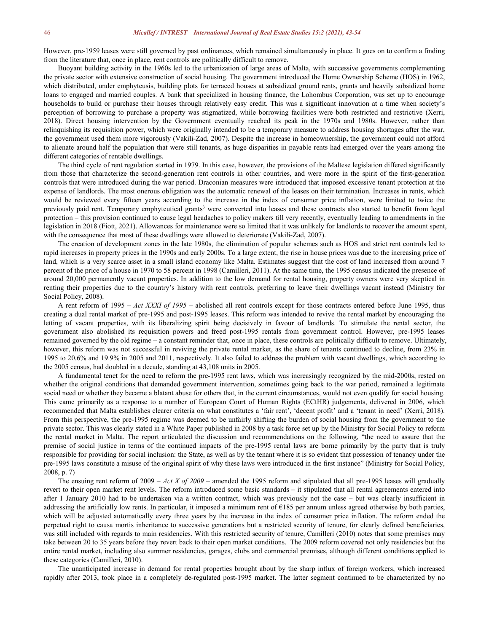However, pre-1959 leases were still governed by past ordinances, which remained simultaneously in place. It goes on to confirm a finding from the literature that, once in place, rent controls are politically difficult to remove.

Buoyant building activity in the 1960s led to the urbanization of large areas of Malta, with successive governments complementing the private sector with extensive construction of social housing. The government introduced the Home Ownership Scheme (HOS) in 1962, which distributed, under emphyteusis, building plots for terraced houses at subsidized ground rents, grants and heavily subsidized home loans to engaged and married couples. A bank that specialized in housing finance, the Lohombus Corporation, was set up to encourage households to build or purchase their houses through relatively easy credit. This was a significant innovation at a time when society's perception of borrowing to purchase a property was stigmatized, while borrowing facilities were both restricted and restrictive (Xerri, 2018). Direct housing intervention by the Government eventually reached its peak in the 1970s and 1980s. However, rather than relinquishing its requisition power, which were originally intended to be a temporary measure to address housing shortages after the war, the government used them more vigorously (Vakili-Zad, 2007). Despite the increase in homeownership, the government could not afford to alienate around half the population that were still tenants, as huge disparities in payable rents had emerged over the years among the different categories of rentable dwellings.

The third cycle of rent regulation started in 1979. In this case, however, the provisions ofthe Maltese legislation differed significantly from those that characterize the second-generation rent controls in other countries, and were more in the spirit of the first-generation controls that were introduced during the war period. Draconian measures were introduced that imposed excessive tenant protection at the expense of landlords. The most onerous obligation was the automatic renewal of the leases on their termination. Increases in rents, which would be reviewed every fifteen years according to the increase in the index of consumer price inflation, were limited to twice the previously paid rent. Temporary emphyteutical grants<sup>3</sup> were converted into leases and these contracts also started to benefit from legal protection – this provision continued to cause legal headaches to policy makers till very recently, eventually leading to amendments in the legislation in 2018 (Fiott, 2021). Allowances for maintenance were so limited that it was unlikely for landlords to recoverthe amount spent, with the consequence that most of these dwellings were allowed to deteriorate (Vakili-Zad, 2007).

The creation of development zones in the late 1980s, the elimination of popular schemes such as HOS and strict rent controls led to rapid increases in property prices in the 1990s and early 2000s. To a large extent, the rise in house prices was due to the increasing price of land, which is a very scarce asset in a small island economy like Malta. Estimates suggest that the cost of land increased from around 7 percent of the price of a house in 1970 to 58 percent in 1998 (Camilleri, 2011). At the same time, the 1995 census indicated the presence of around 20,000 permanently vacant properties. In addition to the low demand for rental housing, property owners were very skeptical in renting their properties due to the country's history with rent controls, preferring to leave their dwellings vacant instead (Ministry for Social Policy, 2008).

A rent reform of 1995 – *Act XXXI of 1995* – abolished all rent controls except for those contracts entered before June 1995, thus creating a dual rental market of pre-1995 and post-1995 leases. This reform was intended to revive the rental market by encouraging the letting of vacant properties, with its liberalizing spirit being decisively in favour of landlords. To stimulate the rental sector, the government also abolished its requisition powers and freed post-1995 rentals from government control. However, pre-1995 leases remained governed by the old regime – a constant reminder that, once in place, these controls are politically difficult to remove. Ultimately, however, this reform was not successful in reviving the private rental market, as the share of tenants continued to decline, from 23% in 1995 to 20.6% and 19.9% in 2005 and 2011, respectively. It also failed to address the problem with vacant dwellings, which according to the 2005 census, had doubled in a decade, standing at 43,108 units in 2005.

A fundamental tenet for the need to reform the pre-1995 rent laws, which was increasingly recognized by the mid-2000s, rested on whether the original conditions that demanded government intervention, sometimes going back to the war period, remained a legitimate social need or whether they became a blatant abuse for others that, in the current circumstances, would not even qualify for social housing. This came primarily as a response to a number of European Court of Human Rights (ECtHR) judgements, delivered in 2006, which recommended that Malta establishes clearer criteria on what constitutes a 'fair rent', 'decent profit' and a 'tenant in need' (Xerri, 2018). From this perspective, the pre-1995 regime was deemed to be unfairly shifting the burden of social housing from the government to the private sector. This was clearly stated in a White Paper published in 2008 by a task force set up by the Ministry for Social Policy to reform the rental market in Malta. The report articulated the discussion and recommendations on the following, "the need to assure that the premise of social justice in terms of the continued impacts of the pre-1995 rental laws are borne primarily by the party that is truly responsible for providing for social inclusion: the State, as well as by the tenantwhere it is so evident that possession of tenancy under the pre-1995 laws constitute a misuse of the original spirit of why these laws were introduced in the first instance" (Ministry for SocialPolicy, 2008, p. 7)

The ensuing rent reform of 2009 – *Act X of 2009* – amended the 1995 reform and stipulated that all pre-1995 leases will gradually revert to their open market rent levels. The reform introduced some basic standards – it stipulated that all rental agreements entered into after 1 January 2010 had to be undertaken via a written contract, which was previously not the case – but was clearly insufficient in addressing the artificially low rents. In particular, it imposed a minimum rent of  $\epsilon$ 185 per annum unless agreed otherwise by both parties, which will be adjusted automatically every three years by the increase in the index of consumer price inflation. The reform ended the perpetual right to causa mortis inheritance to successive generations but a restricted security of tenure, for clearly defined beneficiaries, was still included with regards to main residencies. With this restricted security of tenure, Camilleri (2010) notes that some premises may take between 20 to 35 years before they revert back to their open market conditions. The 2009 reform covered not only residencies but the entire rental market, including also summer residencies, garages, clubs and commercial premises, although different conditions applied to these categories (Camilleri, 2010).

The unanticipated increase in demand for rental properties brought about by the sharp influx of foreign workers, which increased rapidly after 2013, took place in a completely de-regulated post-1995 market. The latter segment continued to be characterized by no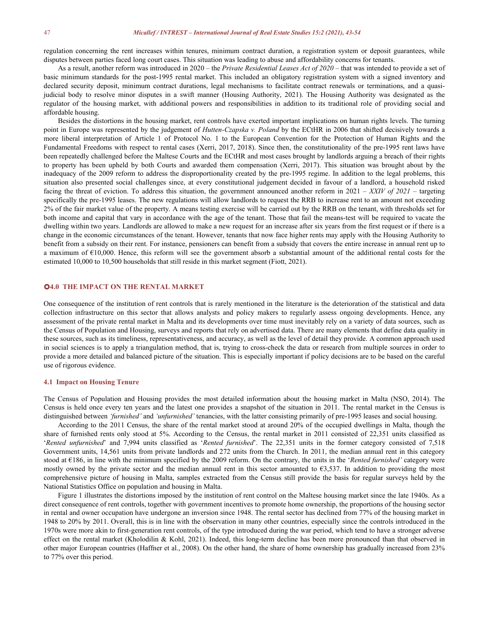regulation concerning the rent increases within tenures, minimum contract duration, a registration system or deposit guarantees, while disputes between parties faced long court cases. This situation was leading to abuse and affordability concerns for tenants.

As a result, another reform was introduced in 2020 – the *Private Residential Leases Act of 2020* – that was intended to provide a set of basic minimum standards for the post-1995 rental market. This included an obligatory registration system with a signed inventory and declared security deposit, minimum contract durations, legal mechanisms to facilitate contract renewals or terminations, and a quasijudicial body to resolve minor disputes in a swift manner (Housing Authority, 2021). The Housing Authority was designated as the regulator of the housing market, with additional powers and responsibilities in addition to its traditional role of providing social and affordable housing.<br>Besides the distortions in the housing market, rent controls have exerted important implications on human rights levels. The turning

point in Europe was represented by the judgement of *Hutten-Czapska v. Poland* by the ECtHR in 2006 that shifted decisively towards a more liberal interpretation of Article 1 of Protocol No. 1 to the European Convention for the Protection of Human Rights and the Fundamental Freedoms with respect to rental cases (Xerri, 2017, 2018). Since then, the constitutionality of the pre-1995 rent laws have been repeatedly challenged before the Maltese Courts and the ECtHR and most cases brought by landlords arguing a breach of theirrights to property has been upheld by both Courts and awarded them compensation (Xerri, 2017). This situation was brought about by the inadequacy of the 2009 reform to address the disproportionality created by the pre-1995 regime. In addition to the legal problems, this situation also presented social challenges since, at every constitutional judgement decided in favour of a landlord, a household risked facing the threat of eviction. To address this situation, the government announced another reform in  $2021 - XXIV$  of  $2021 -$  targeting specifically the pre-1995 leases. The new regulations will allow landlords to request the RRB to increase rent to an amount not exceeding 2% of the fair market value of the property. A means testing exercise will be carried out by the RRB on the tenant, with thresholds set for both income and capital that vary in accordance with the age of the tenant. Those that fail the means-test will be required to vacate the dwelling within two years. Landlords are allowed to make a new request for an increase after six years from the first request or if there is a change in the economic circumstances of the tenant. However, tenants that now face higher rents may apply with the Housing Authority to benefit from a subsidy on their rent. For instance, pensioners can benefit from a subsidy that covers the entire increase in annual rent up to a maximum of  $\epsilon$ 10,000. Hence, this reform will see the government absorb a substantial amount of the additional rental costs for the estimated 10,000 to 10,500 households that still reside in this market segment (Fiott, 2021).

# **4.0 THE IMPACT ON THE RENTAL MARKET**

One consequence of the institution of rent controls that is rarely mentioned in the literature isthe deterioration of the statistical and data collection infrastructure on this sector that allows analysts and policy makers to regularly assess ongoing developments. Hence, any assessment of the private rental market in Malta and its developments over time must inevitably rely on a variety of data sources, such as the Census of Population and Housing, surveys and reports that rely on advertised data. There are many elements that define data quality in these sources, such as its timeliness, representativeness, and accuracy, as well as the level of detail they provide. A common approach used in social sciences is to apply a triangulation method, that is, trying to cross-check the data or research from multiple sources in order to provide a more detailed and balanced picture of the situation. This is especially importantif policy decisions are to be based on the careful use of rigorous evidence.

#### **4.1 Impact on Housing Tenure**

The Census of Population and Housing provides the most detailed information about the housing market in Malta (NSO, 2014). The Census is held once every ten years and the latest one provides a snapshot of the situation in 2011. The rental market in the Census is distinguished between *'furnished'* and *'unfurnished'* tenancies, with the latter consisting primarily of pre-1995 leases and social housing.

According to the 2011 Census, the share of the rental market stood at around 20% of the occupied dwellings in Malta, though the share of furnished rents only stood at 5%. According to the Census, the rental market in 2011 consisted of 22,351 units classified as '*Rented unfurnished*' and 7,994 units classified as '*Rented furnished*'. The 22,351 units in the former category consisted of 7,518 Government units, 14,561 units from private landlords and 272 units from the Church. In 2011, the median annual rent in this category stood at €186, in line with the minimum specified bythe 2009 reform. On the contrary, the units in the '*Rented furnished'* category were mostly owned by the private sector and the median annual rent in this sector amounted to  $63,537$ . In addition to providing the most comprehensive picture of housing in Malta, samples extracted from the Census still provide the basis for regular surveys held by the National Statistics Office on population and housing in Malta.

Figure 1 illustrates the distortions imposed by the institution of rent control on the Maltese housing market since the late 1940s. As a direct consequence of rent controls, together with government incentives to promote home ownership, the proportions of the housing sector in rental and owner occupation have undergone an inversion since 1948. The rental sector has declined from 77% of the housing market in 1948 to 20% by 2011. Overall, this is in line with the observation in many other countries, especially since the controls introduced in the 1970s were more akin to first-generation rent controls, of the type introduced during the war period, which tend to have a stronger adverse effect on the rental market (Kholodilin & Kohl, 2021). Indeed, this long-term decline has been more pronounced than that observed in other major European countries (Haffner et al., 2008). On the other hand, the share of home ownership has gradually increased from 23% to 77% over this period.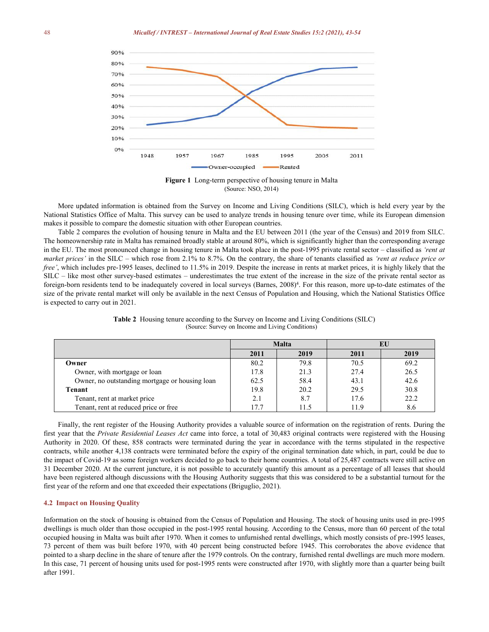

**Figure 1** Long-term perspective of housing tenure in Malta (Source: NSO, 2014)

More updated information is obtained from the Survey on Income and Living Conditions (SILC), which is held every year by the National Statistics Office of Malta. This survey can be used to analyze trends in housing tenure over time, while its European dimension makes it possible to compare the domestic situation with other European countries.

Table 2 compares the evolution of housing tenure in Malta and the EU between 2011 (the year of the Census) and 2019 from SILC. The homeownership rate in Malta has remained broadly stable at around 80%, which is significantly higher than the corresponding average in the EU. The most pronounced change in housing tenure in Malta took place in the post-1995 private rental sector – classified as *'rent at market prices'* in the SILC – which rose from 2.1% to 8.7%. On the contrary, the share of tenants classified as *'rent at reduce price or free'*, which includes pre-1995 leases, declined to 11.5% in 2019. Despite the increase in rents at market prices, it is highly likely that the SILC – like most other survey-based estimates – underestimates the true extent of the increase in the size of the private rental sector as foreign-born residents tend to be inadequately covered in local surveys (Barnes, 2008) 4 . For this reason, more up-to-date estimates ofthe size of the private rental market will only be available in the next Census of Population and Housing, which the National Statistics Office is expected to carry out in 2021.

|                                                | <b>Malta</b> |      | ЕU   |      |
|------------------------------------------------|--------------|------|------|------|
|                                                | 2011         | 2019 | 2011 | 2019 |
| Owner                                          | 80.2         | 79.8 | 70.5 | 69.2 |
| Owner, with mortgage or loan                   | 17.8         | 21.3 | 27.4 | 26.5 |
| Owner, no outstanding mortgage or housing loan | 62.5         | 58.4 | 43.1 | 42.6 |
| Tenant                                         | 19.8         | 20.2 | 29.5 | 30.8 |
| Tenant, rent at market price                   | 2.1          | 8.7  | 17.6 | 22.2 |
| Tenant, rent at reduced price or free          | 17.7         | 11.5 | 11.9 | 8.6  |

**Table 2** Housing tenure according to the Survey on Income and Living Conditions (SILC) (Source: Survey on Income and Living Conditions)

Finally, the rent register of the Housing Authority provides a valuable source of information on the registration of rents. During the first year that the *Private Residential Leases Act* came into force, a total of 30,483 original contracts were registered with the Housing Authority in 2020. Of these, 858 contracts were terminated during the yearin accordance with the terms stipulated in the respective contracts, while another 4,138 contracts were terminated before the expiry of the original termination date which, in part, could be due to the impact of Covid-19 as some foreign workers decided to go back to their home countries. A total of 25,487 contracts were still active on 31 December 2020. At the currentjuncture, it is not possible to accurately quantify this amount as a percentage of all leases that should have been registered although discussions with the Housing Authority suggests that this was considered to be a substantial turnout for the first year of the reform and one that exceeded their expectations (Briguglio, 2021).

#### **4.2 Impact on Housing Quality**

Information on the stock of housing is obtained from the Census of Population and Housing. The stock of housing units used in pre-1995 dwellings is much older than those occupied in the post-1995 rental housing. According to the Census, more than 60 percent of the total occupied housing in Malta was built after 1970. When it comes to unfurnished rental dwellings, which mostly consists of pre-1995 leases, 73 percent of them was built before 1970, with 40 percent being constructed before 1945. This corroborates the above evidence that pointed to a sharp decline in the share of tenure afterthe 1979 controls. On the contrary, furnished rental dwellings are much more modern. In this case, 71 percent of housing units used for post-1995 rents were constructed after 1970, with slightly more than a quarter being built after 1991.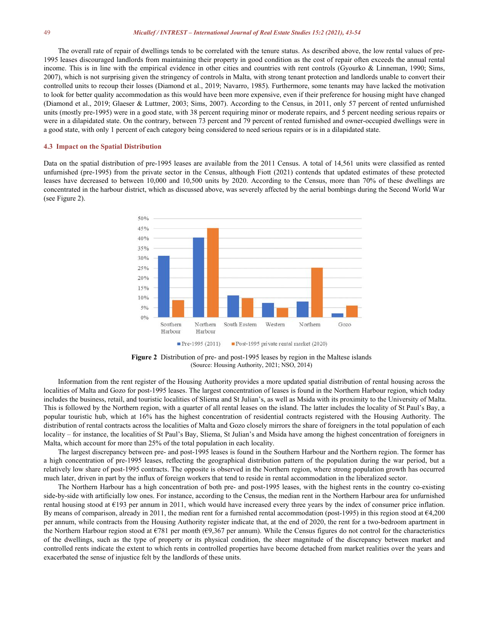The overall rate of repair of dwellings tends to be correlated with the tenure status. As described above, the low rental values of pre- 1995 leases discouraged landlords from maintaining their property in good condition as the cost of repair often exceeds the annual rental income. This is in line with the empirical evidence in other cities and countries with rent controls (Gyourko & Linneman, 1990; Sims, 2007), which is not surprising given the stringency of controls in Malta, with strong tenant protection and landlords unable to convert their controlled units to recoup their losses (Diamond et al., 2019; Navarro, 1985). Furthermore, some tenants may have lacked the motivation to look for better quality accommodation as this would have been more expensive, even if their preference for housing might have changed (Diamond et al., 2019; Glaeser & Luttmer, 2003; Sims, 2007). According to the Census, in 2011, only 57 percent of rented unfurnished units (mostly pre-1995) were in a good state, with 38 percent requiring minor or moderate repairs, and 5 percent needing serious repairs or<br>were in a dilapidated state. On the contrary, between 73 percent and 79 percent of a good state, with only 1 percent of each category being considered to need serious repairs oris in a dilapidated state.

#### **4.3 Impact on the SpatialDistribution**

Data on the spatial distribution of pre-1995 leases are available from the 2011 Census. A total of 14,561 units were classified as rented unfurnished (pre-1995) from the private sector in the Census, although Fiott (2021) contends that updated estimates of these protected leases have decreased to between 10,000 and 10,500 units by 2020. According to the Census, more than 70% of these dwellings are concentrated in the harbour district, which as discussed above, was severely affected by the aerial bombings during the Second World War (see Figure 2).



**Figure 2** Distribution of pre- and post-1995 leases by region in the Maltese islands (Source: Housing Authority, 2021; NSO, 2014)

Information from the rent register of the Housing Authority provides a more updated spatial distribution of rental housing across the localities of Malta and Gozo for post-1995 leases. The largest concentration of leases is found in the Northern Harbour region, which today includes the business, retail, and touristic localities of Sliema and St Julian's, as well as Msida with its proximity to the University of Malta. This is followed by the Northern region, with a quarter of all rental leases on the island. The latter includes the locality of St Paul's Bay, a popular touristic hub, which at 16% has the highest concentration of residential contracts registered with the Housing Authority. The distribution of rental contracts across the localities of Malta and Gozo closely mirrors the share of foreigners in the total population of each locality – for instance, the localities of St Paul's Bay, Sliema, St Julian's and Msida have among the highest concentration of foreigners in Malta, which account for more than 25% of the total population in each locality.

The largest discrepancy between pre- and post-1995 leases is found in the Southern Harbour and the Northern region. The former has a high concentration of pre-1995 leases, reflecting the geographical distribution pattern of the population during the war period, but a relatively low share of post-1995 contracts. The opposite is observed in the Northern region, where strong population growth has occurred much later, driven in part by the influx of foreign workers that tend to reside in rental accommodation in the liberalized sector.

The Northern Harbour has a high concentration of both pre- and post-1995 leases, with the highest rents in the country co-existing side-by-side with artificially low ones. For instance, according to the Census, the median rent in the Northern Harbour area for unfurnished rental housing stood at €193 per annum in 2011, which would have increased every three years by the index of consumer price inflation. By means of comparison, already in 2011, the median rent for a furnished rental accommodation (post-1995) in this region stood at  $64,200$ per annum, while contracts from the Housing Authority register indicate that, at the end of 2020, the rent for a two-bedroom apartment in the Northern Harbour region stood at  $\epsilon$ 781 per month ( $\epsilon$ 9,367 per annum). While the Census figures do not control for the characteristics of the dwellings, such as the type of property or its physical condition, the sheer magnitude of the discrepancy between market and controlled rents indicate the extent to which rents in controlled properties have become detached from market realities over the years and exacerbated the sense of injustice felt by the landlords of these units.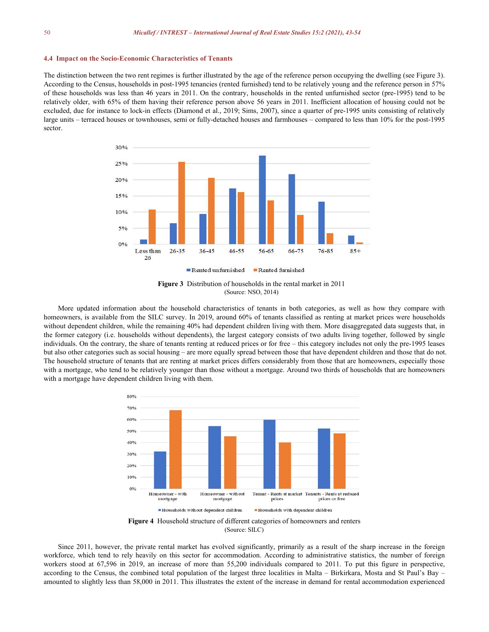#### **4.4 Impact on the Socio-Economic Characteristics ofTenants**

The distinction between the two rent regimes is further illustrated by the age of the reference person occupying the dwelling (see Figure 3). According to the Census, households in post-1995 tenancies (rented furnished) tend to be relatively young and the reference person in 57% of these households was less than 46 years in 2011. On the contrary, households in the rented unfurnished sector (pre-1995) tend to be relatively older, with 65% of them having their reference person above 56 years in 2011. Inefficient allocation of housing could not be excluded, due for instance to lock-in effects (Diamond et al., 2019; Sims, 2007), since a quarter of pre-1995 units consisting of relatively large units – terraced houses or townhouses, semi or fully-detached houses and farmhouses – compared to less than 10% for the post-1995 sector.



**Figure 3** Distribution of households in the rental market in 2011 (Source: NSO, 2014)

More updated information about the household characteristics of tenants in both categories, as well as how they compare with homeowners, is available from the SILC survey. In 2019, around 60% of tenants classified as renting at market prices were households without dependent children, while the remaining 40% had dependent children living with them. More disaggregated data suggests that, in the former category (i.e. households without dependents), the largest category consists of two adults living together, followed by single individuals. On the contrary, the share of tenants renting at reduced prices or for free – this category includes not only the pre-1995 leases but also other categories such as social housing – are more equally spread between those that have dependent children and those that do not. The household structure of tenants that are renting at market prices differs considerably from those that are homeowners, especially those with a mortgage, who tend to be relatively younger than those without a mortgage. Around two thirds of households that are homeowners with a mortgage have dependent children living with them.



Figure 4 Household structure of different categories of homeowners and renters (Source: SILC)

Since 2011, however, the private rental market has evolved significantly, primarily as a result of the sharp increase in the foreign workforce, which tend to rely heavily on this sector for accommodation. According to administrative statistics, the number of foreign workers stood at 67,596 in 2019, an increase of more than 55,200 individuals compared to 2011. To put this figure in perspective, according to the Census, the combined total population of the largest three localities in Malta – Birkirkara, Mosta and St Paul's Bay – amounted to slightly less than 58,000 in 2011. This illustrates the extent of the increase in demand for rental accommodation experienced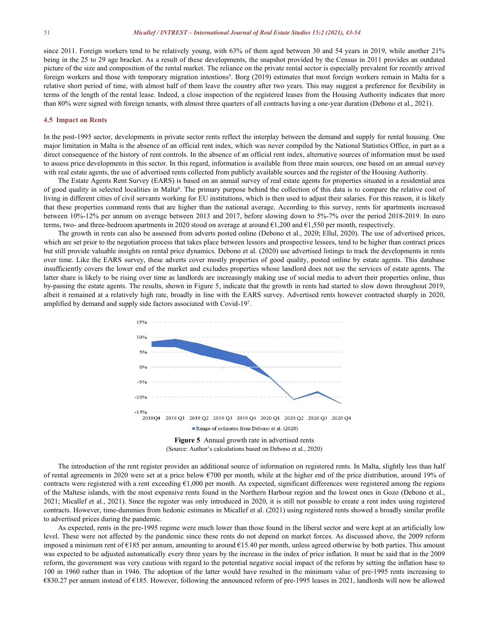since 2011. Foreign workers tend to be relatively young, with 63% of them aged between 30 and 54 years in 2019, while another 21% being in the 25 to 29 age bracket. As a result of these developments, the snapshot provided by the Census in 2011 provides an outdated picture of the size and composition of the rental market. The reliance on the private rental sector is especially prevalent for recently arrived foreign workers and those with temporary migration intentions<sup>5</sup>. Borg (2019) estimates that most foreign workers remain in Malta for a relative short period of time, with almost half of them leave the country after two years. This may suggest a preference for flexibility in terms of the length of the rental lease. Indeed, a close inspection of the registered leases from the HousingAuthority indicates that more than 80% were signed with foreign tenants, with almost three quarters of all contracts having a one-year duration (Debono et al., 2021).

#### **4.5 Impact on Rents**

In the post-1995 sector, developments in private sector rents reflect the interplay between the demand and supply for rental housing. One major limitation in Malta is the absence of an official rent index, which was never compiled by the National Statistics Office, in part as a direct consequence of the history of rent controls. In the absence of an official rent index, alternative sources of information must be used to assess price developments in this sector. In this regard, information is available from three main sources, one based on an annual survey with real estate agents, the use of advertised rents collected from publicly available sources and the register of the Housing Authority.

The Estate Agents Rent Survey (EARS) is based on an annual survey of real estate agents for properties situated in a residential area of good quality in selected localities in Malta 6 . The primary purpose behind the collection of this data isto compare the relative cost of living in different cities of civil servants working for EU institutions, which is then used to adjust their salaries. For this reason, it is likely that these properties command rents that are higher than the national average. According to this survey, rents for apartments increased between 10%-12% per annum on average between 2013 and 2017, before slowing down to 5%-7% over the period 2018-2019. In euro terms, two- and three-bedroom apartments in 2020 stood on average at around  $\epsilon$ 1,200 and  $\epsilon$ 1,550 per month, respectively.

The growth in rents can also be assessed from adverts posted online (Debono et al., 2020; Ellul, 2020). The use of advertised prices, which are set prior to the negotiation process that takes place between lessors and prospective lessees, tend to be higher than contract prices but still provide valuable insights on rental price dynamics. Debono et al. (2020) use advertised listings to track the developments in rents over time. Like the EARS survey, these adverts cover mostly properties of good quality, posted online by estate agents. This database insufficiently covers the lower end of the market and excludes properties whose landlord doesnot use the services of estate agents. The latter share is likely to be rising over time as landlords are increasingly making use of social media to advert their properties online, thus by-passing the estate agents. The results, shown in Figure 5, indicate that the growth in rents had started to slow down throughout 2019, albeit it remained at a relatively high rate, broadly in line with the EARS survey. Advertised rents however contracted sharply in 2020, amplified by demand and supply side factors associated with Covid-19 7 .



The introduction of the rent register provides an additional source of information on registered rents. In Malta, slightly less than half of rental agreements in 2020 were set at a price below €700 per month, while at the higher end of the price distribution, around 19% of contracts were registered with a rent exceeding  $61,000$  per month. As expected, significant differences were registered among the regions of the Maltese islands, with the most expensive rents found in the Northern Harbour region and the lowest ones in Gozo (Debono et al., 2021; Micallef et al., 2021). Since the register was only introduced in 2020, it is still not possible to create a rent index using registered contracts. However, time-dummies from hedonic estimates in Micallef et al. (2021) using registered rents showed a broadly similar profile to advertised prices during the pandemic.

As expected, rents in the pre-1995 regime were much lower than those found in the liberal sector and were keptat an artificially low level. These were not affected by the pandemic since these rents do not depend on market forces. As discussed above, the 2009 reform imposed a minimum rent of  $\epsilon$ 185 per annum, amounting to around  $\epsilon$ 15.40 per month, unless agreed otherwise by both parties. This amount was expected to be adjusted automatically every three years by the increase in the index of price inflation. It must be said that in the 2009 reform, the government was very cautious with regard to the potential negative social impact of the reform by setting the inflation base to 100 in 1960 rather than in 1946. The adoption of the latter would have resulted in the minimum value of pre-1995 rents increasing to €830.27 per annum instead of €185. However, following the announced reform of pre-1995 leases in 2021, landlords will now be allowed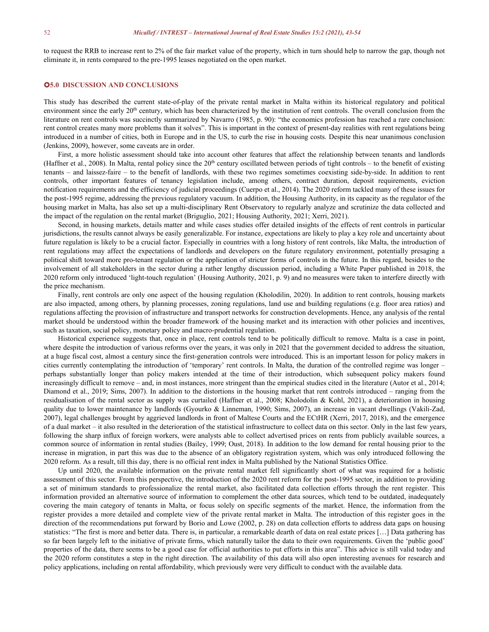to request the RRB to increase rent to 2% of the fair market value of the property, which in turn should help to narrow the gap, though not eliminate it, in rents compared to the pre-1995 leases negotiated on the open market.

# **5.0 DISCUSSION AND CONCLUSIONS**

This study has described the current state-of-play of the private rental market in Malta within its historical regulatory and political environment since the early 20<sup>th</sup> century, which has been characterized by the institution of rent controls. The overall conclusion from the literature on rent controls was succinctly summarized by Navarro (1985, p. 90): "the economics profession has reached a rare conclusion: rent control creates many more problems than it solves". This is important in the context of present-day realities with rent regulations being introduced in a number of cities, both in Europe and in the US, to curb the rise in housing costs. Despite this near unanimous conclusion (Jenkins, 2009), however, some caveats are in order.<br>First, a more holistic assessment should take into account other features that affect the relationship between tenants and landlords

(Haffner et al., 2008). In Malta, rental policy since the  $20<sup>th</sup>$  century oscillated between periods of tight controls – to the benefit of existing tenants – and laissez-faire – to the benefitof landlords, with these two regimes sometimes coexisting side-by-side. In addition to rent controls, other important features of tenancy legislation include, among others, contract duration, deposit requirements, eviction notification requirements and the efficiency of judicial proceedings (Cuerpo et al., 2014). The 2020 reform tackled many of these issues for the post-1995 regime, addressing the previous regulatory vacuum. In addition, the Housing Authority, in its capacity as the regulator of the housing market in Malta, has also set up a multi-disciplinary Rent Observatory to regularly analyze and scrutinize the data collected and the impact of the regulation on the rental market (Briguglio, 2021; Housing Authority, 2021; Xerri, 2021).

Second, in housing markets, details matter and while cases studies offer detailed insights of the effects of rent controls in particular jurisdictions, the results cannot always be easily generalizable. For instance, expectations are likely to play a key role and uncertainty about future regulation is likely to be a crucial factor. Especially in countries with a long history of rent controls, like Malta, the introduction of rent regulations may affect the expectations of landlords and developers on the future regulatory environment, potentially presaging a political shift toward more pro-tenant regulation or the application of stricter forms of controls in the future. In this regard, besides to the involvement of all stakeholders in the sector during a rather lengthy discussion period, including a White Paper published in 2018, the 2020 reform only introduced 'light-touch regulation' (Housing Authority, 2021, p. 9) and no measures were taken to interfere directly with the price mechanism.

Finally, rent controls are only one aspect of the housing regulation (Kholodilin, 2020). In addition to rent controls, housing markets are also impacted, among others, by planning processes, zoning regulations, land use and building regulations (e.g. floor area ratios) and regulations affecting the provision of infrastructure and transport networks for construction developments. Hence, any analysis ofthe rental market should be understood within the broader framework of the housing market and its interaction with other policies and incentives, such as taxation, social policy, monetary policy and macro-prudential regulation.

Historical experience suggests that, once in place, rent controls tend to be politically difficult to remove. Malta is a case in point, where despite the introduction of various reforms over the years, it was only in 2021 that the government decided to address the situation, at a huge fiscal cost, almost a century since the first-generation controls were introduced. This is an important lesson for policy makers in cities currently contemplating the introduction of 'temporary' rent controls. In Malta, the duration of the controlled regime was longer – perhaps substantially longer than policy makers intended at the time of their introduction, which subsequent policy makers found increasingly difficult to remove – and, in most instances, more stringent than the empirical studies cited in the literature (Autor et al., 2014; Diamond et al., 2019; Sims, 2007). In addition to the distortions in the housing market that rent controls introduced – ranging from the residualisation of the rental sector as supply was curtailed (Haffner et al., 2008; Kholodolin & Kohl, 2021), a deterioration in housing quality due to lower maintenance by landlords (Gyourko & Linneman, 1990; Sims, 2007), an increase in vacant dwellings (Vakili-Zad, 2007), legal challenges brought by aggrieved landlords in front of Maltese Courts and the ECtHR (Xerri, 2017, 2018), and the emergence of a dual market – it also resulted in the deterioration of the statistical infrastructure to collect data on this sector. Only in the last few years, following the sharp influx of foreign workers, were analysts able to collect advertised prices on rents from publicly available sources, a common source of information in rental studies (Bailey, 1999; Oust, 2018). In addition to the low demand for rental housing prior to the increase in migration, in part this was due to the absence of an obligatory registration system, which was only introduced following the 2020 reform. As a result, till this day, there is no official rent index in Malta published by the National Statistics Office.

Up until 2020, the available information on the private rental market fell significantly short of what was required for a holistic assessment of this sector. From this perspective, the introduction of the 2020 rent reform for the post-1995 sector, in addition to providing a set of minimum standards to professionalize the rental market, also facilitated data collection efforts through the rent register. This information provided an alternative source of information to complement the other data sources, which tend to be outdated, inadequately covering the main category of tenants in Malta, or focus solely on specific segments of the market. Hence, the information from the register provides a more detailed and complete view of the private rental market in Malta. The introduction of this register goes in the direction of the recommendations put forward by Borio and Lowe (2002, p. 28) on data collection efforts to address data gaps on housing statistics: "The first is more and better data. There is, in particular, a remarkable dearth of data on real estate prices [...] Data gathering has so far been largely left to the initiative of private firms, which naturally tailor the data to their own requirements. Given the 'public good' properties of the data, there seems to be a good case for official authorities to put efforts in this area". This advice is still valid today and the 2020 reform constitutes a step in the right direction. The availability of this data will also open interesting avenues for research and policy applications, including on rental affordability, which previously were very difficult to conduct with the available data.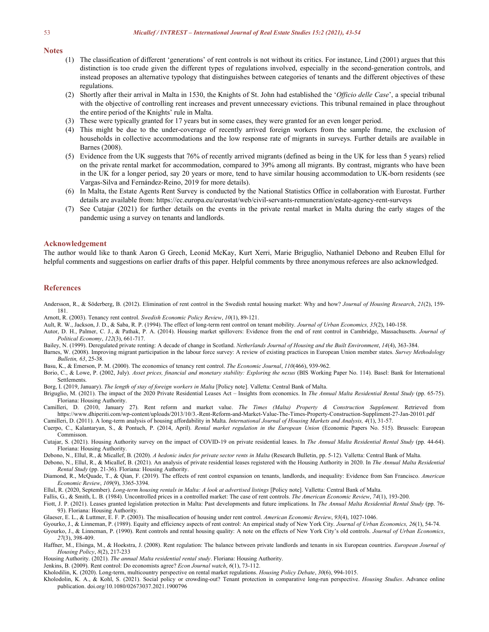#### **Notes**

- (1) The classification of different 'generations' of rent controls is not without its critics. For instance, Lind (2001) argues that this distinction is too crude given the different types of regulations involved, especially in the second-generation controls, and instead proposes an alternative typology that distinguishes between categories of tenants and the different objectives of these regulations.
- (2) Shortly after their arrival in Malta in 1530, the Knights of St. John had established the '*Officio delle Case*', a special tribunal with the objective of controlling rent increases and prevent unnecessary evictions. This tribunal remained in place throughout the entire period of the Knights' rule in Malta.
- (3) These were typically granted for 17 years but in some cases, they were granted for an even longer period.
- (4) This might be due to the under-coverage of recently arrived foreign workers from the sample frame, the exclusion of households in collective accommodations and the low response rate of migrants in surveys. Further details are available in Barnes (2008).
- (5) Evidence from the UK suggests that 76% of recently arrived migrants (defined as being in the UK for less than 5 years) relied on the private rental market for accommodation, compared to 39% among all migrants. By contrast, migrants who have been in the UK for a longer period, say 20 years or more, tend to have similar housing accommodation to UK-born residents (see Vargas-Silva and Fernández-Reino, 2019 for more details).
- (6) In Malta, the Estate Agents Rent Survey is conducted by the National Statistics Office in collaboration with Eurostat. Further details are available from: https://ec.europa.eu/eurostat/web/civil-servants-remuneration/estate-agency-rent-surveys
- (7) See Cutajar (2021) for further details on the events in the private rental market in Malta during the early stages of the pandemic using a survey on tenants and landlords.

#### **Acknowledgement**

The author would like to thank Aaron G Grech, Leonid McKay, Kurt Xerri, Marie Briguglio, Nathaniel Debono and Reuben Ellul for helpful comments and suggestions on earlier drafts of this paper. Helpful comments by three anonymous referees are also acknowledged.

#### **References**

Andersson, R., & Söderberg, B. (2012). Elimination of rent control in the Swedish rental housing market: Why and how? *Journal of Housing Research*, *21*(2), 159- 181.

Arnott, R. (2003). Tenancy rent control. *Swedish Economic Policy Review*, *10*(1), 89-121.

- Ault, R. W., Jackson, J. D., & Saba, R. P. (1994). The effect of long-term rent control on tenant mobility. *Journal of Urban Economics, 35*(2), 140-158.
- Autor, D. H., Palmer, C. J., & Pathak, P. A. (2014). Housing market spillovers: Evidence from the end of rent control in Cambridge, Massachusetts. *Journal of Political Economy*, *122*(3), 661-717.
- Bailey, N. (1999). Deregulated private renting: A decade of change in Scotland. *Netherlands Journal of Housing and the Built Environment*, *14*(4), 363-384.
- Barnes, W. (2008). Improving migrant participation in the labour force survey: A review of existing practices in European Union member states. *Survey Methodology Bulletin, 63*, 25-38.
- Basu, K., & Emerson, P. M. (2000). The economics oftenancy rent control. *The Economic Journal*,*110*(466), 939-962.
- Borio, C., & Lowe, P. (2002, July). Asset prices, financial and monetary stability: Exploring the nexus (BIS Working Paper No. 114). Basel: Bank for International Settlements.
- Borg, I. (2019, January). *The length of stay of foreign workers in Malta* [Policy note]. Valletta: Central Bank of Malta.
- Briguglio, M. (2021). The impact of the 2020 Private Residential Leases Act Insights from economics. In *The Annual Malta Residential Rental Study* (pp. 65-75). Floriana: Housing Authority.
- Camilleri, D. (2010, January 27). Rent reform and market value. *The Times (Malta) Property & Construction Supplement.* Retrieved from https://www.dhiperiti.com/wp-content/uploads/2013/10/3.-Rent-Reform-and-Market-Value-The-Times-Property-Construction-Suppliment-27-Jan-20101.pdf
- Camilleri, D. (2011). A long-term analysis ofhousing affordability in Malta. *International Journal of Housing Markets and Analysis, 4*(1), 31-57.
- Cuerpo, C., Kalantaryan, S., & Pontuch, P. (2014, April). *Rental market regulation in the European Union* (Economic Papers No. 515). Brussels: European Commisson.
- Cutajar, S. (2021). Housing Authority survey on the impact of COVID-19 on private residential leases. In *The Annual Malta Residential Rental Study* (pp. 44-64). Floriana: Housing Authority.
- Debono, N., Ellul, R., & Micallef, B. (2020). *A hedonic index for private sector rents in Malta* (Research Bulletin, pp. 5-12). Valletta: Central Bank of Malta.
- Debono, N., Ellul, R., & Micallef, B. (2021). An analysis of private residential leases registered with the Housing Authority in 2020. In *The Annual Malta Residential Rental Study* (pp. 21-36). Floriana: Housing Authority.
- Diamond, R., McQuade, T., & Qian, F. (2019). The effects ofrent control expansion on tenants, landlords, and inequality: Evidence from San Francisco. *American Economic Review*, *109*(9), 3365-3394.
- Ellul, R. (2020, September). *Long-term housing rentals in Malta: A look at advertised listings* [Policy note]. Valletta: Central Bank of Malta.
- Fallis, G., & Smith, L. B. (1984). Uncontrolled prices in a controlled market: The case of rent controls. *The American Economic Review*, *74*(1), 193-200.
- Fiott, J. P. (2021). Leases granted legislation protection in Malta: Past developments and future implications. In *The Annual Malta Residential Rental Study* (pp. 76- 93). Floriana: Housing Authority.
- Glaeser, E. L., & Luttmer, E. F. P. (2003). The misallocation of housing under rent control. *American Economic Review*, *93*(4), 1027-1046.
- Gyourko, J., & Linneman, P. (1989). Equity and efficiency aspects ofrent control: An empirical study of New York City. *Journal of Urban Economics, 26*(1), 54-74.
- Gyourko, J., & Linneman, P. (1990). Rent controls and rental housing quality: A note on the effects of New York City's old controls. *Journal of Urban Economics*, *27*(3), 398-409.
- Haffner, M., Elsinga, M., & Hoekstra, J. (2008). Rent regulation: The balance between private landlords and tenants in six European countries. *European Journal of Housing Policy*, *8*(2), 217-233
- Housing Authority. (2021). *The annual Malta residential rental study*. Floriana: Housing Authority.
- Jenkins, B. (2009). Rent control: Do economists agree? *Econ Journal watch*, *6*(1), 73-112.
- Kholodilin, K. (2020). Long-term, multicountry perspective on rental market regulations. *Housing Policy Debate*, *30*(6), 994-1015.
- Kholodolin, K. A., & Kohl, S. (2021). Social policy or crowding-out? Tenant protection in comparative long-run perspective. *Housing Studies*. Advance online publication. doi.org/10.1080/02673037.2021.1900796